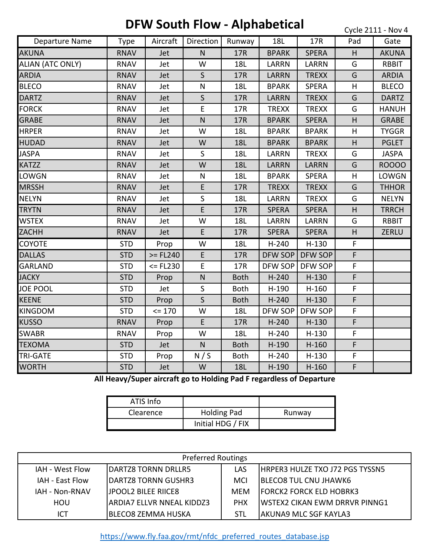## **DFW South Flow - Alphabetical**

Cycle 2111 - Nov 4

| Departure Name          | <b>Type</b> | Aircraft    | Direction    | Runway      | 18L          | 17R          | Pad | Gate         |
|-------------------------|-------------|-------------|--------------|-------------|--------------|--------------|-----|--------------|
| <b>AKUNA</b>            | <b>RNAV</b> | Jet         | $\mathsf{N}$ | 17R         | <b>BPARK</b> | <b>SPERA</b> | H   | <b>AKUNA</b> |
| <b>ALIAN (ATC ONLY)</b> | <b>RNAV</b> | Jet         | W            | <b>18L</b>  | <b>LARRN</b> | <b>LARRN</b> | G   | <b>RBBIT</b> |
| <b>ARDIA</b>            | <b>RNAV</b> | Jet         | $\mathsf{S}$ | 17R         | <b>LARRN</b> | <b>TREXX</b> | G   | <b>ARDIA</b> |
| <b>BLECO</b>            | <b>RNAV</b> | Jet         | $\mathsf{N}$ | 18L         | <b>BPARK</b> | <b>SPERA</b> | H   | <b>BLECO</b> |
| <b>DARTZ</b>            | <b>RNAV</b> | Jet         | $\sf S$      | 17R         | <b>LARRN</b> | <b>TREXX</b> | G   | <b>DARTZ</b> |
| <b>FORCK</b>            | <b>RNAV</b> | Jet         | E            | 17R         | <b>TREXX</b> | <b>TREXX</b> | G   | <b>HANUH</b> |
| <b>GRABE</b>            | <b>RNAV</b> | Jet         | $\mathsf{N}$ | 17R         | <b>BPARK</b> | <b>SPERA</b> | H   | <b>GRABE</b> |
| <b>HRPER</b>            | <b>RNAV</b> | Jet         | W            | 18L         | <b>BPARK</b> | <b>BPARK</b> | H   | <b>TYGGR</b> |
| <b>HUDAD</b>            | <b>RNAV</b> | Jet         | W            | <b>18L</b>  | <b>BPARK</b> | <b>BPARK</b> | H   | <b>PGLET</b> |
| <b>JASPA</b>            | <b>RNAV</b> | Jet         | $\mathsf{S}$ | 18L         | <b>LARRN</b> | <b>TREXX</b> | G   | <b>JASPA</b> |
| <b>KATZZ</b>            | <b>RNAV</b> | Jet         | W            | <b>18L</b>  | <b>LARRN</b> | <b>LARRN</b> | G   | <b>ROOOO</b> |
| <b>LOWGN</b>            | <b>RNAV</b> | Jet         | N            | 18L         | <b>BPARK</b> | <b>SPERA</b> | н   | LOWGN        |
| <b>MRSSH</b>            | <b>RNAV</b> | Jet         | E            | 17R         | <b>TREXX</b> | <b>TREXX</b> | G   | <b>THHOR</b> |
| <b>NELYN</b>            | <b>RNAV</b> | Jet         | S            | 18L         | <b>LARRN</b> | <b>TREXX</b> | G   | <b>NELYN</b> |
| <b>TRYTN</b>            | <b>RNAV</b> | Jet         | E            | 17R         | <b>SPERA</b> | <b>SPERA</b> | H   | <b>TRRCH</b> |
| <b>WSTEX</b>            | <b>RNAV</b> | Jet         | W            | 18L         | <b>LARRN</b> | <b>LARRN</b> | G   | <b>RBBIT</b> |
| <b>ZACHH</b>            | <b>RNAV</b> | Jet         | E            | 17R         | <b>SPERA</b> | <b>SPERA</b> | H   | ZERLU        |
| <b>COYOTE</b>           | <b>STD</b>  | Prop        | W            | 18L         | $H-240$      | $H-130$      | F   |              |
| <b>DALLAS</b>           | <b>STD</b>  | $>=$ FL240  | E            | 17R         | DFW SOP      | DFW SOP      | F   |              |
| <b>GARLAND</b>          | <b>STD</b>  | $<$ = FL230 | E            | 17R         | DFW SOP      | DFW SOP      | F   |              |
| <b>JACKY</b>            | <b>STD</b>  | Prop        | $\mathsf{N}$ | <b>Both</b> | $H-240$      | $H-130$      | F   |              |
| <b>JOE POOL</b>         | <b>STD</b>  | Jet         | $\mathsf{S}$ | <b>Both</b> | $H-190$      | $H-160$      | F   |              |
| <b>KEENE</b>            | <b>STD</b>  | Prop        | $\mathsf{S}$ | <b>Both</b> | $H-240$      | $H-130$      | F   |              |
| <b>KINGDOM</b>          | <b>STD</b>  | $= 170$     | W            | <b>18L</b>  | DFW SOP      | DFW SOP      | F   |              |
| <b>KUSSO</b>            | <b>RNAV</b> | Prop        | E            | 17R         | $H-240$      | $H-130$      | F   |              |
| <b>SWABR</b>            | <b>RNAV</b> | Prop        | W            | <b>18L</b>  | $H-240$      | $H-130$      | F   |              |
| <b>TEXOMA</b>           | <b>STD</b>  | Jet         | $\mathsf{N}$ | <b>Both</b> | $H-190$      | $H-160$      | F   |              |
| <b>TRI-GATE</b>         | <b>STD</b>  | Prop        | N/S          | <b>Both</b> | $H-240$      | $H-130$      | F   |              |
| <b>WORTH</b>            | <b>STD</b>  | Jet         | W            | <b>18L</b>  | $H-190$      | $H-160$      | F   |              |

**All Heavy/Super aircraft go to Holding Pad F regardless of Departure**

| ATIS Info |                    |        |
|-----------|--------------------|--------|
| Clearence | <b>Holding Pad</b> | Runway |
|           | Initial HDG / FIX  |        |

| <b>Preferred Routings</b> |                             |            |                                       |  |  |  |
|---------------------------|-----------------------------|------------|---------------------------------------|--|--|--|
| IAH - West Flow           | DARTZ8 TORNN DRLLR5         | LAS        | HRPER3 HULZE TXO J72 PGS TYSSN5       |  |  |  |
| IAH - East Flow           | IDARTZ8 TORNN GUSHR3        | <b>MCI</b> | <b>BLECO8 TUL CNU JHAWK6</b>          |  |  |  |
| IAH - Non-RNAV            | <b>IJPOOL2 BILEE RIICE8</b> | <b>MEM</b> | <b>FORCK2 FORCK ELD HOBRK3</b>        |  |  |  |
| HOU                       | IARDIA7 ELLVR NNEAL KIDDZ3  | <b>PHX</b> | <b>IWSTEX2 CIKAN EWM DRRVR PINNG1</b> |  |  |  |
| ICT                       | IBLECO8 ZEMMA HUSKA         | STL        | <b>AKUNA9 MLC SGF KAYLA3</b>          |  |  |  |

[ht](https://www.fly.faa.gov/rmt/nfdc_preferred_routes_database.jsp)tps://www.fly.faa.gov/rmt/nfdc\_preferred\_routes\_database.jsp